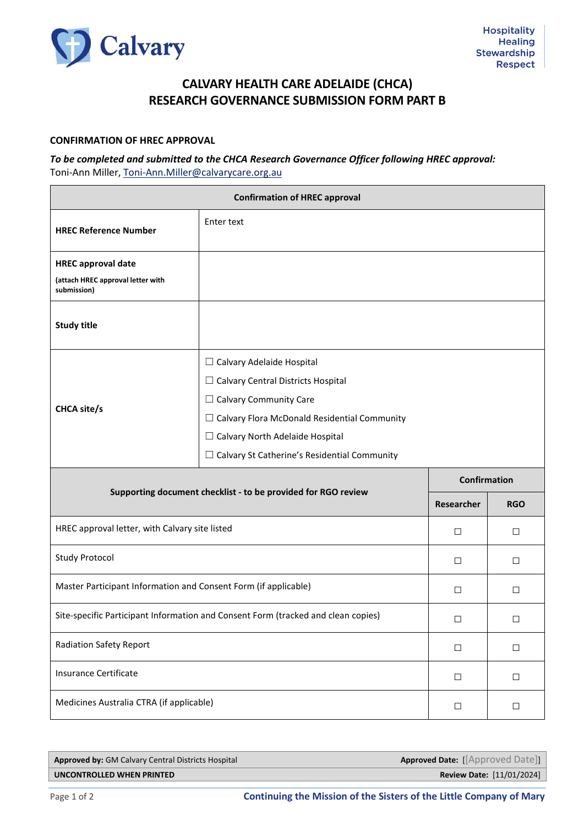

## **CALVARY HEALTH CARE ADELAIDE (CHCA) RESEARCH GOVERNANCE SUBMISSION FORM PART B**

## **CONFIRMATION OF HREC APPROVAL**

## *To be completed and submitted to the CHCA Research Governance Officer following HREC approval:* Toni-Ann Miller, [Toni-Ann.Miller@calvarycare.org.au](mailto:Toni-Ann.Miller@calvarycare.org.au)

| <b>Confirmation of HREC approval</b>                                          |                                                                                                                                                                                                                                                                        |                      |                                   |  |
|-------------------------------------------------------------------------------|------------------------------------------------------------------------------------------------------------------------------------------------------------------------------------------------------------------------------------------------------------------------|----------------------|-----------------------------------|--|
| <b>HREC Reference Number</b>                                                  | Enter text                                                                                                                                                                                                                                                             |                      |                                   |  |
| <b>HREC approval date</b><br>(attach HREC approval letter with<br>submission) |                                                                                                                                                                                                                                                                        |                      |                                   |  |
| <b>Study title</b>                                                            |                                                                                                                                                                                                                                                                        |                      |                                   |  |
| <b>CHCA site/s</b>                                                            | $\Box$ Calvary Adelaide Hospital<br>$\Box$ Calvary Central Districts Hospital<br>$\Box$ Calvary Community Care<br>$\Box$ Calvary Flora McDonald Residential Community<br>$\Box$ Calvary North Adelaide Hospital<br>$\Box$ Calvary St Catherine's Residential Community |                      |                                   |  |
| Supporting document checklist - to be provided for RGO review                 |                                                                                                                                                                                                                                                                        |                      | <b>Confirmation</b><br><b>RGO</b> |  |
|                                                                               |                                                                                                                                                                                                                                                                        |                      |                                   |  |
| HREC approval letter, with Calvary site listed                                |                                                                                                                                                                                                                                                                        | Researcher<br>$\Box$ | □                                 |  |
| <b>Study Protocol</b>                                                         |                                                                                                                                                                                                                                                                        | $\Box$               | $\Box$                            |  |
| Master Participant Information and Consent Form (if applicable)               |                                                                                                                                                                                                                                                                        | □                    | □                                 |  |
|                                                                               | Site-specific Participant Information and Consent Form (tracked and clean copies)                                                                                                                                                                                      | □                    | □                                 |  |
| <b>Radiation Safety Report</b>                                                |                                                                                                                                                                                                                                                                        | $\Box$               | $\Box$                            |  |
| Insurance Certificate                                                         |                                                                                                                                                                                                                                                                        | $\Box$               | $\Box$                            |  |

| <b>Approved by: GM Calvary Central Districts Hospital</b> | <b>Approved Date:</b> [[Approved Date]] |
|-----------------------------------------------------------|-----------------------------------------|
| UNCONTROLLED WHEN PRINTED                                 | <b>Review Date: [11/01/2024]</b>        |